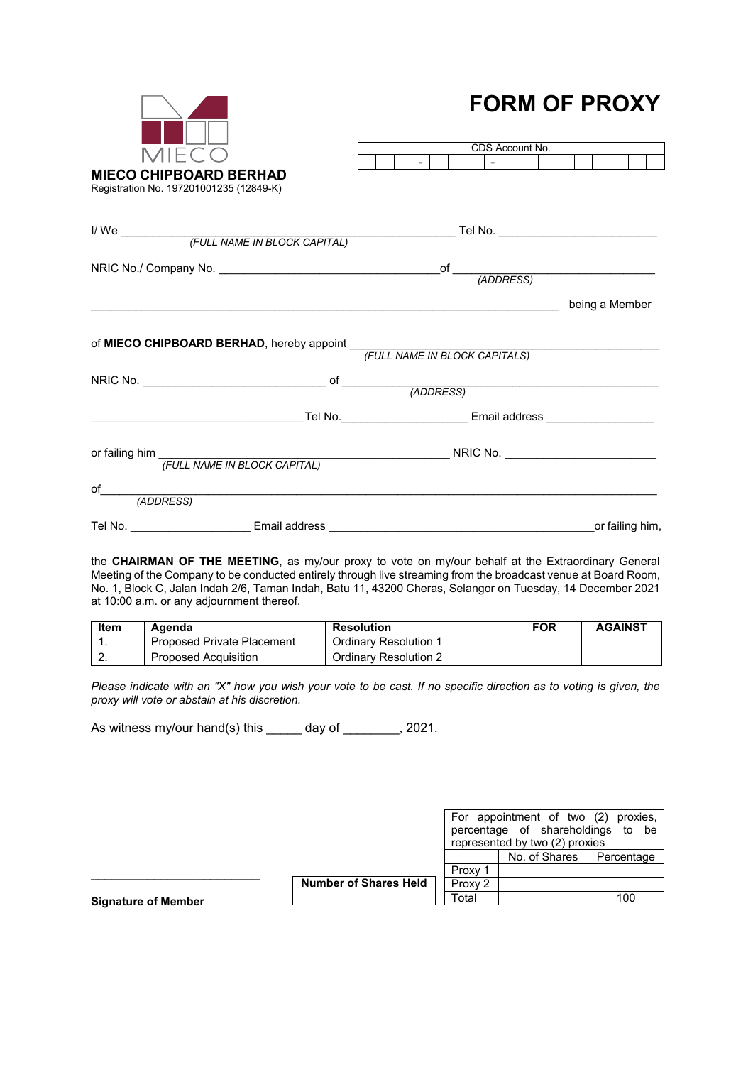| 11FCO<br><b>MIECO CHIPBOARD BERHAD</b><br>Registration No. 197201001235 (12849-K) | I VINI VI I INVAT<br>CDS Account No.<br>$-1$                                                            |                 |
|-----------------------------------------------------------------------------------|---------------------------------------------------------------------------------------------------------|-----------------|
|                                                                                   |                                                                                                         |                 |
|                                                                                   |                                                                                                         |                 |
|                                                                                   | of MIECO CHIPBOARD BERHAD, hereby appoint (FULL NAME IN BLOCK CAPITALS)                                 | being a Member  |
|                                                                                   | NRIC No. $\qquad \qquad \overbrace{~~} \text{ of } \qquad \qquad \qquad \qquad \qquad \text{(ADDRESS)}$ |                 |
|                                                                                   |                                                                                                         |                 |
|                                                                                   | or failing him<br>FULL NAME IN BLOCK CAPITAL) NRIC No.                                                  |                 |
|                                                                                   |                                                                                                         |                 |
| Tel No.                                                                           |                                                                                                         | or failing him, |

**FORM OF PROXY**

the **CHAIRMAN OF THE MEETING**, as my/our proxy to vote on my/our behalf at the Extraordinary General Meeting of the Company to be conducted entirely through live streaming from the broadcast venue at Board Room, No. 1, Block C, Jalan Indah 2/6, Taman Indah, Batu 11, 43200 Cheras, Selangor on Tuesday, 14 December 2021 at 10:00 a.m. or any adjournment thereof.

| Item     | Agenda                     | <b>Resolution</b>            | <b>FOR</b> | <b>AGAINST</b> |
|----------|----------------------------|------------------------------|------------|----------------|
|          | Proposed Private Placement | <b>Ordinary Resolution 1</b> |            |                |
| <u>.</u> | Proposed Acquisition       | Ordinary Resolution 2        |            |                |

*Please indicate with an "X" how you wish your vote to be cast. If no specific direction as to voting is given, the proxy will vote or abstain at his discretion.* 

As witness my/our hand(s) this \_\_\_\_\_ day of \_\_\_\_\_\_\_, 2021.

|                            |                              | For appointment of two (2) proxies,<br>percentage of shareholdings to be<br>represented by two (2) proxies |               |            |
|----------------------------|------------------------------|------------------------------------------------------------------------------------------------------------|---------------|------------|
|                            |                              |                                                                                                            | No. of Shares | Percentage |
|                            |                              | Proxy                                                                                                      |               |            |
|                            | <b>Number of Shares Held</b> | Proxy 2                                                                                                    |               |            |
| <b>Signature of Member</b> |                              | Total                                                                                                      |               | 100        |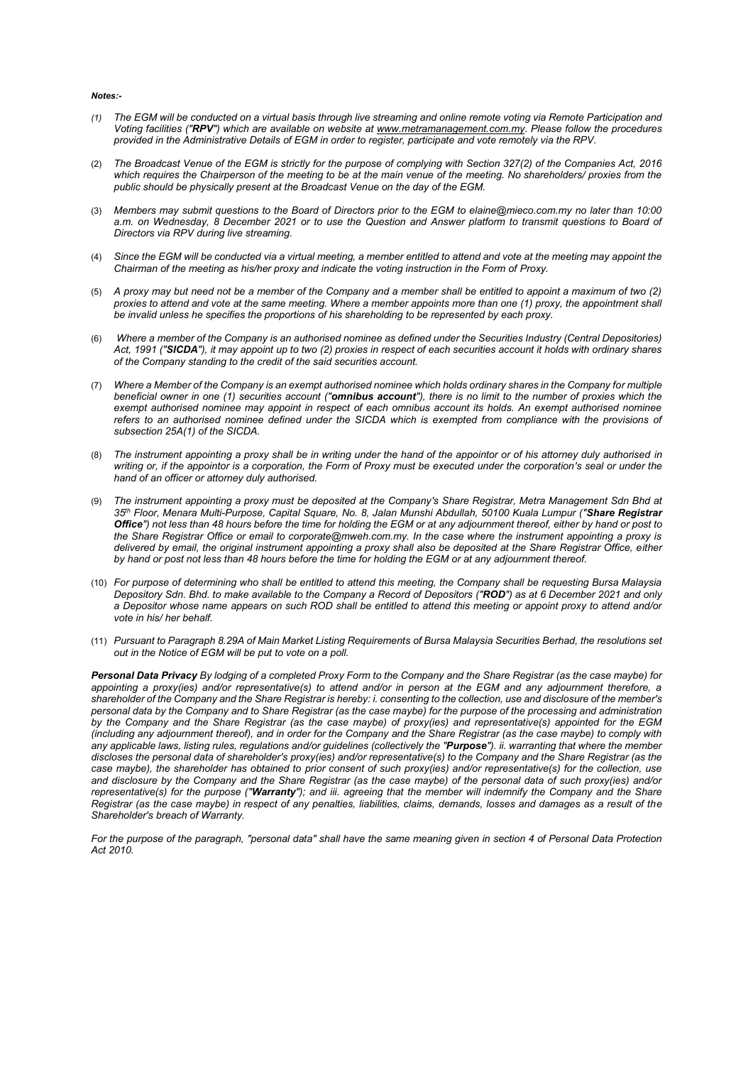## *Notes:-*

- *(1) The EGM will be conducted on a virtual basis through live streaming and online remote voting via Remote Participation and Voting facilities ("RPV") which are available on website at www.metramanagement.com.my. Please follow the procedures provided in the Administrative Details of EGM in order to register, participate and vote remotely via the RPV.*
- (2) *The Broadcast Venue of the EGM is strictly for the purpose of complying with Section 327(2) of the Companies Act, 2016 which requires the Chairperson of the meeting to be at the main venue of the meeting. No shareholders/ proxies from the public should be physically present at the Broadcast Venue on the day of the EGM.*
- (3) *Members may submit questions to the Board of Directors prior to the EGM to elaine@mieco.com.my no later than 10:00*  a.m. on Wednesday, 8 December 2021 or to use the Question and Answer platform to transmit questions to Board of *Directors via RPV during live streaming.*
- (4) *Since the EGM will be conducted via a virtual meeting, a member entitled to attend and vote at the meeting may appoint the Chairman of the meeting as his/her proxy and indicate the voting instruction in the Form of Proxy.*
- (5) *A proxy may but need not be a member of the Company and a member shall be entitled to appoint a maximum of two (2) proxies to attend and vote at the same meeting. Where a member appoints more than one (1) proxy, the appointment shall be invalid unless he specifies the proportions of his shareholding to be represented by each proxy.*
- (6) *Where a member of the Company is an authorised nominee as defined under the Securities Industry (Central Depositories) Act, 1991 ("SICDA"), it may appoint up to two (2) proxies in respect of each securities account it holds with ordinary shares of the Company standing to the credit of the said securities account.*
- (7) *Where a Member of the Company is an exempt authorised nominee which holds ordinary shares in the Company for multiple beneficial owner in one (1) securities account ("omnibus account"), there is no limit to the number of proxies which the exempt authorised nominee may appoint in respect of each omnibus account its holds. An exempt authorised nominee*  refers to an authorised nominee defined under the SICDA which is exempted from compliance with the provisions of *subsection 25A(1) of the SICDA.*
- (8) *The instrument appointing a proxy shall be in writing under the hand of the appointor or of his attorney duly authorised in writing or, if the appointor is a corporation, the Form of Proxy must be executed under the corporation's seal or under the hand of an officer or attorney duly authorised.*
- (9) *The instrument appointing a proxy must be deposited at the Company's Share Registrar, Metra Management Sdn Bhd at 35th Floor, Menara Multi-Purpose, Capital Square, No. 8, Jalan Munshi Abdullah, 50100 Kuala Lumpur ("Share Registrar Office") not less than 48 hours before the time for holding the EGM or at any adjournment thereof, either by hand or post to the Share Registrar Office or email to corporate@mweh.com.my. In the case where the instrument appointing a proxy is delivered by email, the original instrument appointing a proxy shall also be deposited at the Share Registrar Office, either by hand or post not less than 48 hours before the time for holding the EGM or at any adjournment thereof.*
- (10) *For purpose of determining who shall be entitled to attend this meeting, the Company shall be requesting Bursa Malaysia Depository Sdn. Bhd. to make available to the Company a Record of Depositors ("ROD") as at 6 December 2021 and only a Depositor whose name appears on such ROD shall be entitled to attend this meeting or appoint proxy to attend and/or vote in his/ her behalf.*
- (11) *Pursuant to Paragraph 8.29A of Main Market Listing Requirements of Bursa Malaysia Securities Berhad, the resolutions set out in the Notice of EGM will be put to vote on a poll.*

*Personal Data Privacy By lodging of a completed Proxy Form to the Company and the Share Registrar (as the case maybe) for appointing a proxy(ies) and/or representative(s) to attend and/or in person at the EGM and any adjournment therefore, a shareholder of the Company and the Share Registrar is hereby: i. consenting to the collection, use and disclosure of the member's personal data by the Company and to Share Registrar (as the case maybe) for the purpose of the processing and administration by the Company and the Share Registrar (as the case maybe) of proxy(ies) and representative(s) appointed for the EGM (including any adjournment thereof), and in order for the Company and the Share Registrar (as the case maybe) to comply with any applicable laws, listing rules, regulations and/or guidelines (collectively the "Purpose"). ii. warranting that where the member discloses the personal data of shareholder's proxy(ies) and/or representative(s) to the Company and the Share Registrar (as the case maybe), the shareholder has obtained to prior consent of such proxy(ies) and/or representative(s) for the collection, use and disclosure by the Company and the Share Registrar (as the case maybe) of the personal data of such proxy(ies) and/or representative(s) for the purpose ("Warranty"); and iii. agreeing that the member will indemnify the Company and the Share Registrar (as the case maybe) in respect of any penalties, liabilities, claims, demands, losses and damages as a result of the Shareholder's breach of Warranty.* 

*For the purpose of the paragraph, "personal data" shall have the same meaning given in section 4 of Personal Data Protection Act 2010.*